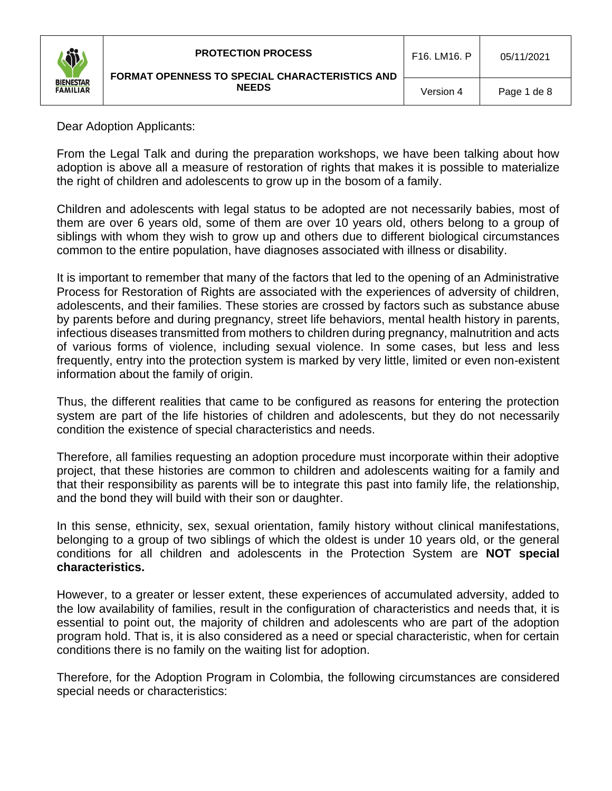| Ő                                   | <b>PROTECTION PROCESS</b><br><b>FORMAT OPENNESS TO SPECIAL CHARACTERISTICS AND</b> | F16. LM16. P | 05/11/2021  |
|-------------------------------------|------------------------------------------------------------------------------------|--------------|-------------|
| <b>BIENESTAR</b><br><b>FAMILIAR</b> | <b>NEEDS</b>                                                                       | Version 4    | Page 1 de 8 |

Dear Adoption Applicants:

From the Legal Talk and during the preparation workshops, we have been talking about how adoption is above all a measure of restoration of rights that makes it is possible to materialize the right of children and adolescents to grow up in the bosom of a family.

Children and adolescents with legal status to be adopted are not necessarily babies, most of them are over 6 years old, some of them are over 10 years old, others belong to a group of siblings with whom they wish to grow up and others due to different biological circumstances common to the entire population, have diagnoses associated with illness or disability.

It is important to remember that many of the factors that led to the opening of an Administrative Process for Restoration of Rights are associated with the experiences of adversity of children, adolescents, and their families. These stories are crossed by factors such as substance abuse by parents before and during pregnancy, street life behaviors, mental health history in parents, infectious diseases transmitted from mothers to children during pregnancy, malnutrition and acts of various forms of violence, including sexual violence. In some cases, but less and less frequently, entry into the protection system is marked by very little, limited or even non-existent information about the family of origin.

Thus, the different realities that came to be configured as reasons for entering the protection system are part of the life histories of children and adolescents, but they do not necessarily condition the existence of special characteristics and needs.

Therefore, all families requesting an adoption procedure must incorporate within their adoptive project, that these histories are common to children and adolescents waiting for a family and that their responsibility as parents will be to integrate this past into family life, the relationship, and the bond they will build with their son or daughter.

In this sense, ethnicity, sex, sexual orientation, family history without clinical manifestations, belonging to a group of two siblings of which the oldest is under 10 years old, or the general conditions for all children and adolescents in the Protection System are **NOT special characteristics.**

However, to a greater or lesser extent, these experiences of accumulated adversity, added to the low availability of families, result in the configuration of characteristics and needs that, it is essential to point out, the majority of children and adolescents who are part of the adoption program hold. That is, it is also considered as a need or special characteristic, when for certain conditions there is no family on the waiting list for adoption.

Therefore, for the Adoption Program in Colombia, the following circumstances are considered special needs or characteristics: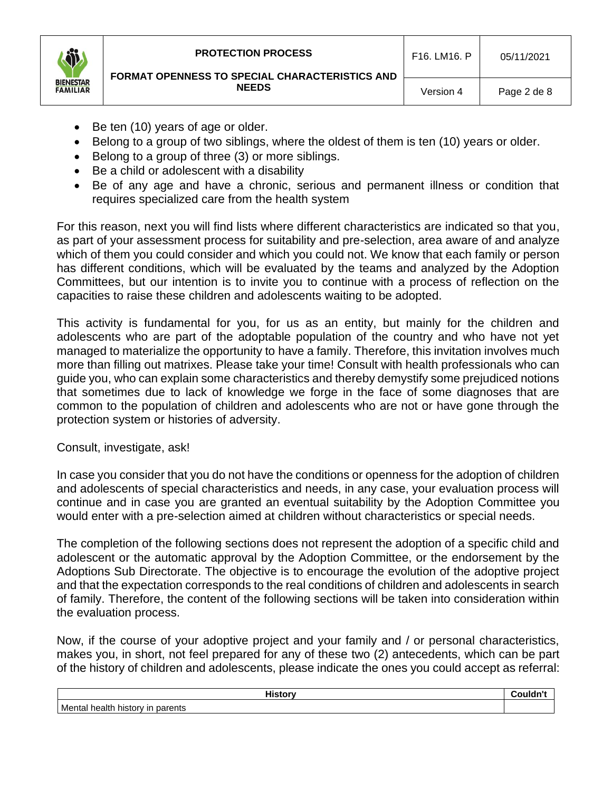- Be ten (10) years of age or older.
- Belong to a group of two siblings, where the oldest of them is ten (10) years or older.
- Belong to a group of three (3) or more siblings.
- Be a child or adolescent with a disability
- Be of any age and have a chronic, serious and permanent illness or condition that requires specialized care from the health system

For this reason, next you will find lists where different characteristics are indicated so that you, as part of your assessment process for suitability and pre-selection, area aware of and analyze which of them you could consider and which you could not. We know that each family or person has different conditions, which will be evaluated by the teams and analyzed by the Adoption Committees, but our intention is to invite you to continue with a process of reflection on the capacities to raise these children and adolescents waiting to be adopted.

This activity is fundamental for you, for us as an entity, but mainly for the children and adolescents who are part of the adoptable population of the country and who have not yet managed to materialize the opportunity to have a family. Therefore, this invitation involves much more than filling out matrixes. Please take your time! Consult with health professionals who can guide you, who can explain some characteristics and thereby demystify some prejudiced notions that sometimes due to lack of knowledge we forge in the face of some diagnoses that are common to the population of children and adolescents who are not or have gone through the protection system or histories of adversity.

Consult, investigate, ask!

In case you consider that you do not have the conditions or openness for the adoption of children and adolescents of special characteristics and needs, in any case, your evaluation process will continue and in case you are granted an eventual suitability by the Adoption Committee you would enter with a pre-selection aimed at children without characteristics or special needs.

The completion of the following sections does not represent the adoption of a specific child and adolescent or the automatic approval by the Adoption Committee, or the endorsement by the Adoptions Sub Directorate. The objective is to encourage the evolution of the adoptive project and that the expectation corresponds to the real conditions of children and adolescents in search of family. Therefore, the content of the following sections will be taken into consideration within the evaluation process.

Now, if the course of your adoptive project and your family and / or personal characteristics, makes you, in short, not feel prepared for any of these two (2) antecedents, which can be part of the history of children and adolescents, please indicate the ones you could accept as referral:

| <b>Contract Administration of the Contract Of the Contract Of the Contract Of the Contract Of the Contract Of the Contract Of the Contract Of the Contract Of the Contract Of the Contract Of the Contract Of the Contract Of th</b> |  |
|--------------------------------------------------------------------------------------------------------------------------------------------------------------------------------------------------------------------------------------|--|
| Mental<br>parents<br>health<br>history                                                                                                                                                                                               |  |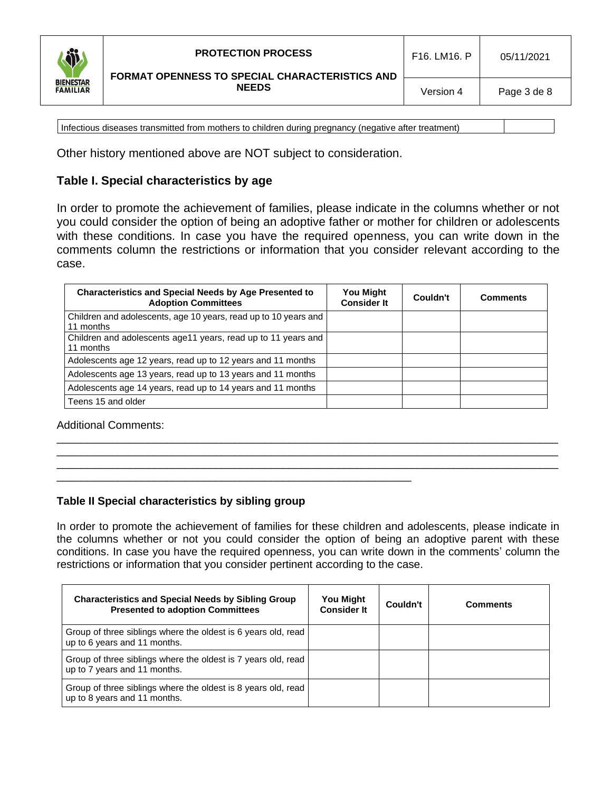

Infectious diseases transmitted from mothers to children during pregnancy (negative after treatment)

Other history mentioned above are NOT subject to consideration.

# **Table I. Special characteristics by age**

In order to promote the achievement of families, please indicate in the columns whether or not you could consider the option of being an adoptive father or mother for children or adolescents with these conditions. In case you have the required openness, you can write down in the comments column the restrictions or information that you consider relevant according to the case.

| <b>Characteristics and Special Needs by Age Presented to</b><br><b>Adoption Committees</b> | <b>You Might</b><br><b>Consider It</b> | Couldn't | <b>Comments</b> |
|--------------------------------------------------------------------------------------------|----------------------------------------|----------|-----------------|
| Children and adolescents, age 10 years, read up to 10 years and<br>11 months               |                                        |          |                 |
| Children and adolescents age11 years, read up to 11 years and<br>11 months                 |                                        |          |                 |
| Adolescents age 12 years, read up to 12 years and 11 months                                |                                        |          |                 |
| Adolescents age 13 years, read up to 13 years and 11 months                                |                                        |          |                 |
| Adolescents age 14 years, read up to 14 years and 11 months                                |                                        |          |                 |
| Teens 15 and older                                                                         |                                        |          |                 |

\_\_\_\_\_\_\_\_\_\_\_\_\_\_\_\_\_\_\_\_\_\_\_\_\_\_\_\_\_\_\_\_\_\_\_\_\_\_\_\_\_\_\_\_\_\_\_\_\_\_\_\_\_\_\_\_\_\_\_\_\_\_\_\_\_\_\_\_\_\_\_\_\_\_\_\_\_\_\_\_\_\_ \_\_\_\_\_\_\_\_\_\_\_\_\_\_\_\_\_\_\_\_\_\_\_\_\_\_\_\_\_\_\_\_\_\_\_\_\_\_\_\_\_\_\_\_\_\_\_\_\_\_\_\_\_\_\_\_\_\_\_\_\_\_\_\_\_\_\_\_\_\_\_\_\_\_\_\_\_\_\_\_\_\_ \_\_\_\_\_\_\_\_\_\_\_\_\_\_\_\_\_\_\_\_\_\_\_\_\_\_\_\_\_\_\_\_\_\_\_\_\_\_\_\_\_\_\_\_\_\_\_\_\_\_\_\_\_\_\_\_\_\_\_\_\_\_\_\_\_\_\_\_\_\_\_\_\_\_\_\_\_\_\_\_\_\_

Additional Comments:

### **Table II Special characteristics by sibling group**

\_\_\_\_\_\_\_\_\_\_\_\_\_\_\_\_\_\_\_\_\_\_\_\_\_\_\_\_\_\_\_\_\_\_\_\_\_\_\_\_\_\_\_\_\_\_\_\_\_\_\_\_\_\_\_\_\_\_

In order to promote the achievement of families for these children and adolescents, please indicate in the columns whether or not you could consider the option of being an adoptive parent with these conditions. In case you have the required openness, you can write down in the comments' column the restrictions or information that you consider pertinent according to the case.

| <b>Characteristics and Special Needs by Sibling Group</b><br><b>Presented to adoption Committees</b> | You Might<br><b>Consider It</b> | Couldn't | <b>Comments</b> |
|------------------------------------------------------------------------------------------------------|---------------------------------|----------|-----------------|
| Group of three siblings where the oldest is 6 years old, read<br>up to 6 years and 11 months.        |                                 |          |                 |
| Group of three siblings where the oldest is 7 years old, read<br>up to 7 years and 11 months.        |                                 |          |                 |
| Group of three siblings where the oldest is 8 years old, read<br>up to 8 years and 11 months.        |                                 |          |                 |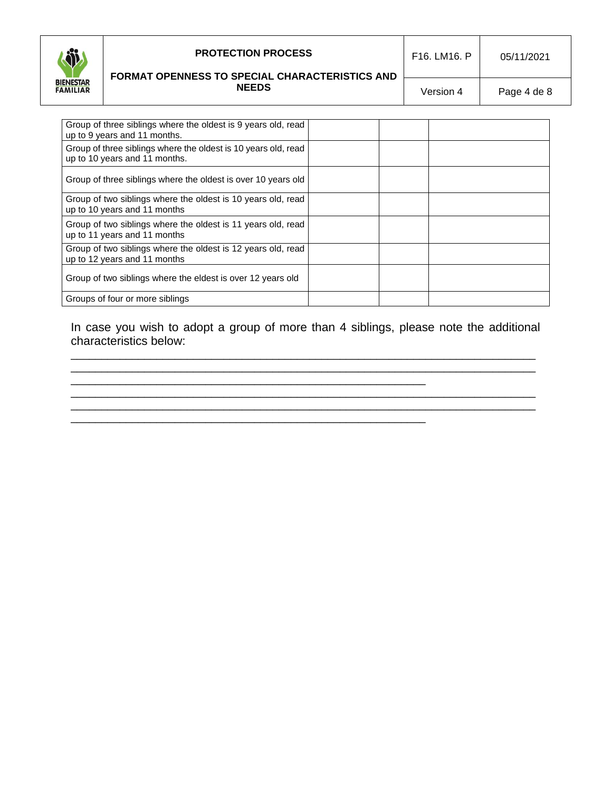

### **PROTECTION PROCESS**

### **FORMAT OPENNESS TO SPECIAL CHARACTERISTICS AND NEEDS**

Version 4 | Page 4 de 8

| Group of three siblings where the oldest is 9 years old, read<br>up to 9 years and 11 months.   |  |
|-------------------------------------------------------------------------------------------------|--|
| Group of three siblings where the oldest is 10 years old, read<br>up to 10 years and 11 months. |  |
| Group of three siblings where the oldest is over 10 years old                                   |  |
| Group of two siblings where the oldest is 10 years old, read<br>up to 10 years and 11 months    |  |
| Group of two siblings where the oldest is 11 years old, read<br>up to 11 years and 11 months    |  |
| Group of two siblings where the oldest is 12 years old, read<br>up to 12 years and 11 months    |  |
| Group of two siblings where the eldest is over 12 years old                                     |  |
| Groups of four or more siblings                                                                 |  |

In case you wish to adopt a group of more than 4 siblings, please note the additional characteristics below:

\_\_\_\_\_\_\_\_\_\_\_\_\_\_\_\_\_\_\_\_\_\_\_\_\_\_\_\_\_\_\_\_\_\_\_\_\_\_\_\_\_\_\_\_\_\_\_\_\_\_\_\_\_\_\_\_\_\_\_\_\_\_\_\_\_\_\_\_\_\_\_\_\_\_\_\_ \_\_\_\_\_\_\_\_\_\_\_\_\_\_\_\_\_\_\_\_\_\_\_\_\_\_\_\_\_\_\_\_\_\_\_\_\_\_\_\_\_\_\_\_\_\_\_\_\_\_\_\_\_\_\_\_\_\_\_\_\_\_\_\_\_\_\_\_\_\_\_\_\_\_\_\_

\_\_\_\_\_\_\_\_\_\_\_\_\_\_\_\_\_\_\_\_\_\_\_\_\_\_\_\_\_\_\_\_\_\_\_\_\_\_\_\_\_\_\_\_\_\_\_\_\_\_\_\_\_\_\_\_\_\_\_\_\_\_\_\_\_\_\_\_\_\_\_\_\_\_\_\_ \_\_\_\_\_\_\_\_\_\_\_\_\_\_\_\_\_\_\_\_\_\_\_\_\_\_\_\_\_\_\_\_\_\_\_\_\_\_\_\_\_\_\_\_\_\_\_\_\_\_\_\_\_\_\_\_\_\_\_\_\_\_\_\_\_\_\_\_\_\_\_\_\_\_\_\_

\_\_\_\_\_\_\_\_\_\_\_\_\_\_\_\_\_\_\_\_\_\_\_\_\_\_\_\_\_\_\_\_\_\_\_\_\_\_\_\_\_\_\_\_\_\_\_\_\_\_\_\_\_\_\_\_\_\_

\_\_\_\_\_\_\_\_\_\_\_\_\_\_\_\_\_\_\_\_\_\_\_\_\_\_\_\_\_\_\_\_\_\_\_\_\_\_\_\_\_\_\_\_\_\_\_\_\_\_\_\_\_\_\_\_\_\_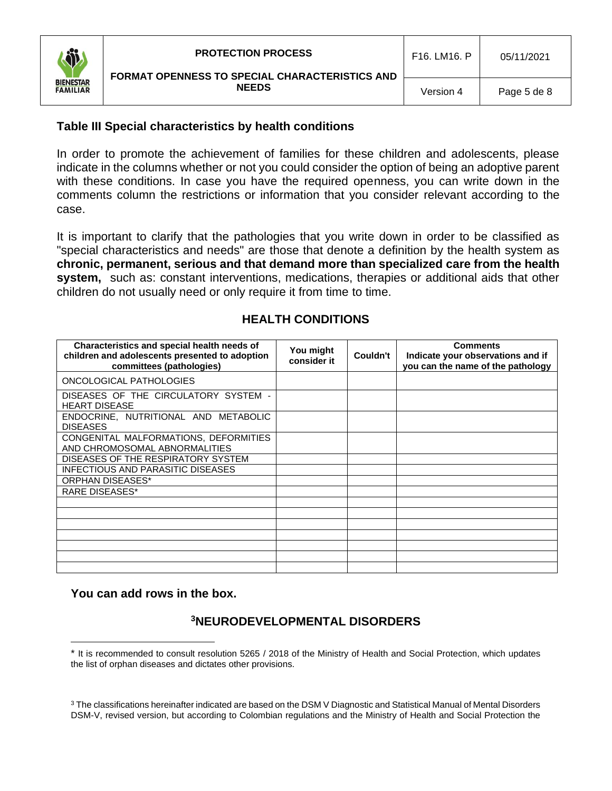

## **Table III Special characteristics by health conditions**

In order to promote the achievement of families for these children and adolescents, please indicate in the columns whether or not you could consider the option of being an adoptive parent with these conditions. In case you have the required openness, you can write down in the comments column the restrictions or information that you consider relevant according to the case.

It is important to clarify that the pathologies that you write down in order to be classified as "special characteristics and needs" are those that denote a definition by the health system as **chronic, permanent, serious and that demand more than specialized care from the health system,** such as: constant interventions, medications, therapies or additional aids that other children do not usually need or only require it from time to time.

| Characteristics and special health needs of<br>children and adolescents presented to adoption<br>committees (pathologies) | You might<br>consider it | Couldn't | <b>Comments</b><br>Indicate your observations and if<br>you can the name of the pathology |
|---------------------------------------------------------------------------------------------------------------------------|--------------------------|----------|-------------------------------------------------------------------------------------------|
| ONCOLOGICAL PATHOLOGIES                                                                                                   |                          |          |                                                                                           |
| DISEASES OF THE CIRCULATORY SYSTEM -<br><b>HEART DISEASE</b>                                                              |                          |          |                                                                                           |
| ENDOCRINE, NUTRITIONAL AND METABOLIC<br><b>DISEASES</b>                                                                   |                          |          |                                                                                           |
| CONGENITAL MALFORMATIONS, DEFORMITIES<br>AND CHROMOSOMAL ABNORMALITIES                                                    |                          |          |                                                                                           |
| DISEASES OF THE RESPIRATORY SYSTEM                                                                                        |                          |          |                                                                                           |
| <b>INFECTIOUS AND PARASITIC DISEASES</b>                                                                                  |                          |          |                                                                                           |
| <b>ORPHAN DISEASES*</b>                                                                                                   |                          |          |                                                                                           |
| <b>RARE DISEASES*</b>                                                                                                     |                          |          |                                                                                           |
|                                                                                                                           |                          |          |                                                                                           |
|                                                                                                                           |                          |          |                                                                                           |
|                                                                                                                           |                          |          |                                                                                           |
|                                                                                                                           |                          |          |                                                                                           |
|                                                                                                                           |                          |          |                                                                                           |
|                                                                                                                           |                          |          |                                                                                           |
|                                                                                                                           |                          |          |                                                                                           |

## **HEALTH CONDITIONS**

### **You can add rows in the box.**

# **<sup>3</sup>NEURODEVELOPMENTAL DISORDERS**

It is recommended to consult resolution 5265 / 2018 of the Ministry of Health and Social Protection, which updates the list of orphan diseases and dictates other provisions.

<sup>&</sup>lt;sup>3</sup> The classifications hereinafter indicated are based on the DSM V Diagnostic and Statistical Manual of Mental Disorders DSM-V, revised version, but according to Colombian regulations and the Ministry of Health and Social Protection the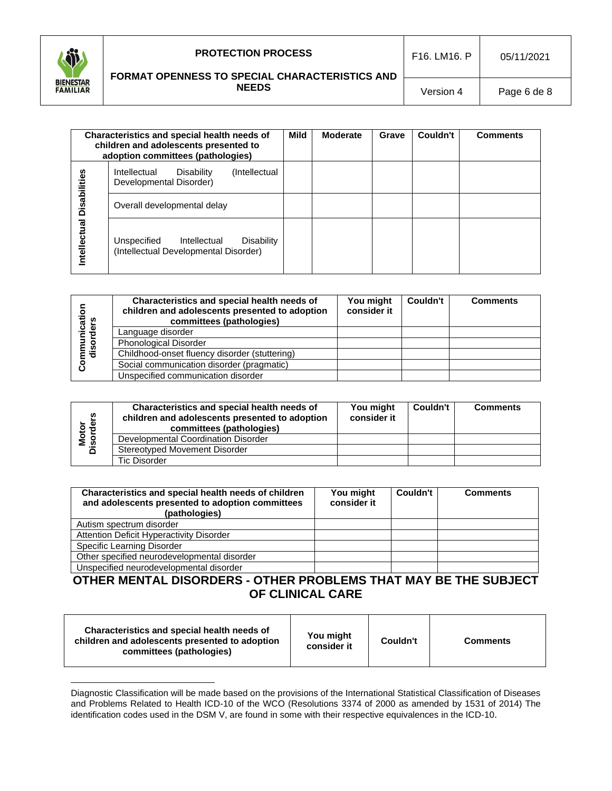

#### **FORMAT OPENNESS TO SPECIAL CHARACTERISTICS AND NEEDS**

Version 4 | Page 6 de 8

|              | Characteristics and special health needs of<br>children and adolescents presented to<br>adoption committees (pathologies) | <b>Mild</b> | <b>Moderate</b> | Grave | Couldn't | <b>Comments</b> |
|--------------|---------------------------------------------------------------------------------------------------------------------------|-------------|-----------------|-------|----------|-----------------|
| Disabilities | Disability<br>Intellectual<br>(Intellectual)<br>Developmental Disorder)                                                   |             |                 |       |          |                 |
|              | Overall developmental delay                                                                                               |             |                 |       |          |                 |
| Intellectual | Unspecified<br>Intellectual<br><b>Disability</b><br>(Intellectual Developmental Disorder)                                 |             |                 |       |          |                 |

| unicatior<br>orders | Characteristics and special health needs of<br>children and adolescents presented to adoption<br>committees (pathologies) | You might<br>consider it | <b>Couldn't</b> | <b>Comments</b> |
|---------------------|---------------------------------------------------------------------------------------------------------------------------|--------------------------|-----------------|-----------------|
|                     | Language disorder                                                                                                         |                          |                 |                 |
| ŏ                   | Phonological Disorder                                                                                                     |                          |                 |                 |
| 들음                  | Childhood-onset fluency disorder (stuttering)                                                                             |                          |                 |                 |
| ន្តិ                | Social communication disorder (pragmatic)                                                                                 |                          |                 |                 |
|                     | Unspecified communication disorder                                                                                        |                          |                 |                 |

| w<br>Motor<br>Disorder | Characteristics and special health needs of<br>children and adolescents presented to adoption<br>committees (pathologies) | You might<br>consider it | Couldn't | <b>Comments</b> |
|------------------------|---------------------------------------------------------------------------------------------------------------------------|--------------------------|----------|-----------------|
|                        | Developmental Coordination Disorder                                                                                       |                          |          |                 |
|                        | Stereotyped Movement Disorder                                                                                             |                          |          |                 |
|                        | Tic Disorder                                                                                                              |                          |          |                 |

| Characteristics and special health needs of children<br>and adolescents presented to adoption committees<br>(pathologies) | You might<br>consider it | Couldn't | <b>Comments</b> |
|---------------------------------------------------------------------------------------------------------------------------|--------------------------|----------|-----------------|
| Autism spectrum disorder                                                                                                  |                          |          |                 |
| Attention Deficit Hyperactivity Disorder                                                                                  |                          |          |                 |
| Specific Learning Disorder                                                                                                |                          |          |                 |
| Other specified neurodevelopmental disorder                                                                               |                          |          |                 |
| Unspecified neurodevelopmental disorder                                                                                   |                          |          |                 |

# **OTHER MENTAL DISORDERS - OTHER PROBLEMS THAT MAY BE THE SUBJECT OF CLINICAL CARE**

| Characteristics and special health needs of<br>children and adolescents presented to adoption<br>committees (pathologies) | You might<br>consider it | Couldn't | <b>Comments</b> |
|---------------------------------------------------------------------------------------------------------------------------|--------------------------|----------|-----------------|
|---------------------------------------------------------------------------------------------------------------------------|--------------------------|----------|-----------------|

Diagnostic Classification will be made based on the provisions of the International Statistical Classification of Diseases and Problems Related to Health ICD-10 of the WCO (Resolutions 3374 of 2000 as amended by 1531 of 2014) The identification codes used in the DSM V, are found in some with their respective equivalences in the ICD-10.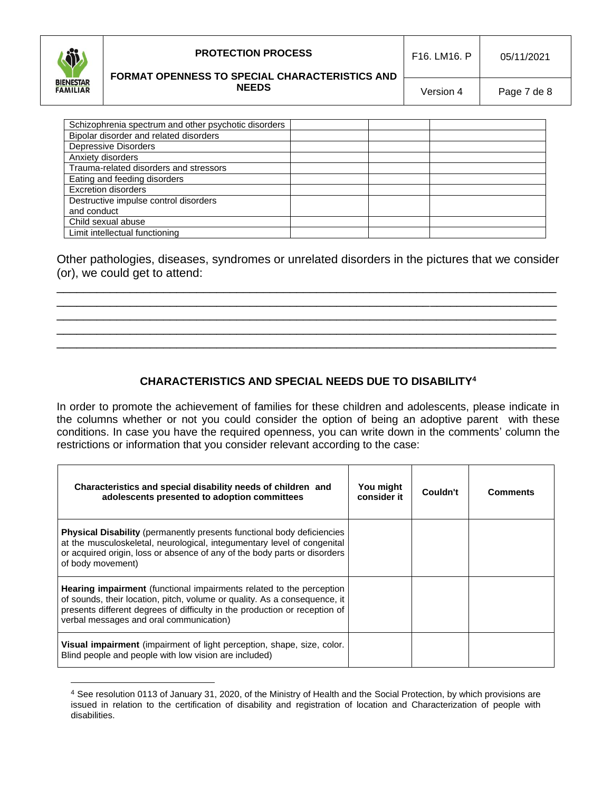

### **PROTECTION PROCESS**

#### **FORMAT OPENNESS TO SPECIAL CHARACTERISTICS AND NEEDS**

Version 4 | Page 7 de 8

| Schizophrenia spectrum and other psychotic disorders |  |  |
|------------------------------------------------------|--|--|
| Bipolar disorder and related disorders               |  |  |
| <b>Depressive Disorders</b>                          |  |  |
| Anxiety disorders                                    |  |  |
| Trauma-related disorders and stressors               |  |  |
| Eating and feeding disorders                         |  |  |
| <b>Excretion disorders</b>                           |  |  |
| Destructive impulse control disorders                |  |  |
| and conduct                                          |  |  |
| Child sexual abuse                                   |  |  |
| Limit intellectual functioning                       |  |  |

Other pathologies, diseases, syndromes or unrelated disorders in the pictures that we consider (or), we could get to attend:

\_\_\_\_\_\_\_\_\_\_\_\_\_\_\_\_\_\_\_\_\_\_\_\_\_\_\_\_\_\_\_\_\_\_\_\_\_\_\_\_\_\_\_\_\_\_\_\_\_\_\_\_\_\_\_\_\_\_\_\_\_\_\_\_\_\_\_\_\_\_\_\_\_\_\_ \_\_\_\_\_\_\_\_\_\_\_\_\_\_\_\_\_\_\_\_\_\_\_\_\_\_\_\_\_\_\_\_\_\_\_\_\_\_\_\_\_\_\_\_\_\_\_\_\_\_\_\_\_\_\_\_\_\_\_\_\_\_\_\_\_\_\_\_\_\_\_\_\_\_\_ \_\_\_\_\_\_\_\_\_\_\_\_\_\_\_\_\_\_\_\_\_\_\_\_\_\_\_\_\_\_\_\_\_\_\_\_\_\_\_\_\_\_\_\_\_\_\_\_\_\_\_\_\_\_\_\_\_\_\_\_\_\_\_\_\_\_\_\_\_\_\_\_\_\_\_ \_\_\_\_\_\_\_\_\_\_\_\_\_\_\_\_\_\_\_\_\_\_\_\_\_\_\_\_\_\_\_\_\_\_\_\_\_\_\_\_\_\_\_\_\_\_\_\_\_\_\_\_\_\_\_\_\_\_\_\_\_\_\_\_\_\_\_\_\_\_\_\_\_\_\_ \_\_\_\_\_\_\_\_\_\_\_\_\_\_\_\_\_\_\_\_\_\_\_\_\_\_\_\_\_\_\_\_\_\_\_\_\_\_\_\_\_\_\_\_\_\_\_\_\_\_\_\_\_\_\_\_\_\_\_\_\_\_\_\_\_\_\_\_\_\_\_\_\_\_\_

## **CHARACTERISTICS AND SPECIAL NEEDS DUE TO DISABILITY<sup>4</sup>**

In order to promote the achievement of families for these children and adolescents, please indicate in the columns whether or not you could consider the option of being an adoptive parent with these conditions. In case you have the required openness, you can write down in the comments' column the restrictions or information that you consider relevant according to the case:

| Characteristics and special disability needs of children and<br>adolescents presented to adoption committees                                                                                                                                                                      | You might<br>consider it | Couldn't | <b>Comments</b> |
|-----------------------------------------------------------------------------------------------------------------------------------------------------------------------------------------------------------------------------------------------------------------------------------|--------------------------|----------|-----------------|
| <b>Physical Disability</b> (permanently presents functional body deficiencies<br>at the musculoskeletal, neurological, integumentary level of congenital<br>or acquired origin, loss or absence of any of the body parts or disorders<br>of body movement)                        |                          |          |                 |
| <b>Hearing impairment</b> (functional impairments related to the perception<br>of sounds, their location, pitch, volume or quality. As a consequence, it<br>presents different degrees of difficulty in the production or reception of<br>verbal messages and oral communication) |                          |          |                 |
| Visual impairment (impairment of light perception, shape, size, color.<br>Blind people and people with low vision are included)                                                                                                                                                   |                          |          |                 |

<sup>4</sup> See resolution 0113 of January 31, 2020, of the Ministry of Health and the Social Protection, by which provisions are issued in relation to the certification of disability and registration of location and Characterization of people with disabilities.